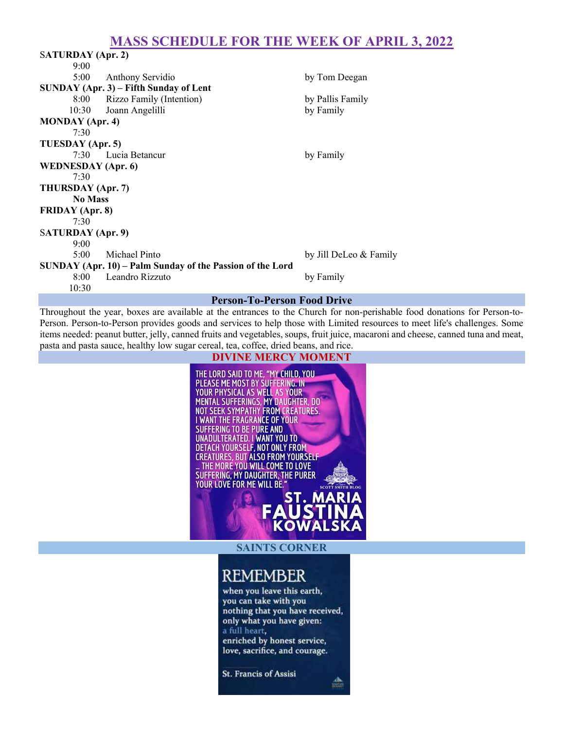## MASS SCHEDULE FOR THE WEEK OF APRIL 3, 2022

| SATURDAY (Apr. 2)                                         |                          |                        |  |  |
|-----------------------------------------------------------|--------------------------|------------------------|--|--|
| 9:00                                                      |                          |                        |  |  |
| 5:00                                                      | Anthony Servidio         | by Tom Deegan          |  |  |
| $SUNDAY$ (Apr. 3) – Fifth Sunday of Lent                  |                          |                        |  |  |
| 8:00                                                      | Rizzo Family (Intention) | by Pallis Family       |  |  |
|                                                           | 10:30 Joann Angelilli    | by Family              |  |  |
| <b>MONDAY</b> (Apr. 4)                                    |                          |                        |  |  |
| 7:30                                                      |                          |                        |  |  |
| TUESDAY (Apr. 5)                                          |                          |                        |  |  |
|                                                           | 7:30 Lucia Betancur      | by Family              |  |  |
| <b>WEDNESDAY</b> (Apr. 6)                                 |                          |                        |  |  |
| 7:30                                                      |                          |                        |  |  |
| THURSDAY (Apr. 7)                                         |                          |                        |  |  |
| <b>No Mass</b>                                            |                          |                        |  |  |
| <b>FRIDAY</b> (Apr. 8)                                    |                          |                        |  |  |
| 7:30                                                      |                          |                        |  |  |
| SATURDAY (Apr. 9)                                         |                          |                        |  |  |
| 9:00                                                      |                          |                        |  |  |
| $5:00^{-}$                                                | Michael Pinto            | by Jill DeLeo & Family |  |  |
| SUNDAY (Apr. 10) – Palm Sunday of the Passion of the Lord |                          |                        |  |  |
|                                                           | 8:00 Leandro Rizzuto     | by Family              |  |  |
| 10:30                                                     |                          |                        |  |  |
| <b>Person-To-Person Food Drive</b>                        |                          |                        |  |  |

Throughout the year, boxes are available at the entrances to the Church for non-perishable food donations for Person-to-Person. Person-to-Person provides goods and services to help those with Limited resources to meet life's challenges. Some items needed: peanut butter, jelly, canned fruits and vegetables, soups, fruit juice, macaroni and cheese, canned tuna and meat, pasta and pasta sauce, healthy low sugar cereal, tea, coffee, dried beans, and rice.

#### DIVINE MERCY MOMENT

THE LORD SAID TO ME, "MY CHILD, YOU<br>PLEASE ME MOST BY SUFFERING. IN<br>YOUR PHYSICAL AS WELL AS YOUR MENTAL SUFFERINGS, MY DAUGHTER, DO NOT SEEK SYMPATHY FROM CREATURES. I WANT THE FRAGRANCE OF YOUR **SUFFERING TO BE PURE AND** SUPPENING TO BE TURNED IN NOU TO<br>DETACH YOURSELF, NOT ONLY FROM<br>CREATURES, BUT ALSO FROM YOURSELF<br>- THE MORE YOU WILL COME TO LOVE<br>SUFFERING, MY DAUGHTER, THE PURER YOUR LOVE FOR ME WILL BE. MА

SAINTS CORNER

# **REMEMBER**

when you leave this earth, you can take with you nothing that you have received, only what you have given: a full heart, enriched by honest service, love, sacrifice, and courage.

St. Francis of Assisi